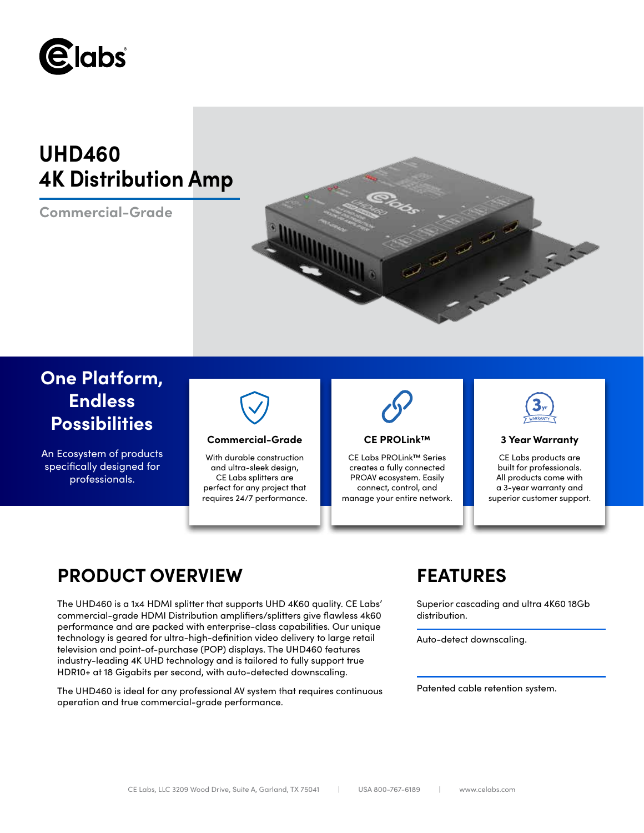

# **UHD460 4K Distribution Amp**

**Commercial-Grade**



# **One Platform, Endless Possibilities**

An Ecosystem of products specifically designed for professionals.



# **Commercial-Grade 3 Year Warranty**

With durable construction and ultra-sleek design, CE Labs splitters are perfect for any project that requires 24/7 performance.



# **CE PROLink™**

CE Labs PROLink™ Series creates a fully connected PROAV ecosystem. Easily connect, control, and manage your entire network.



CE Labs products are built for professionals. All products come with a 3-year warranty and superior customer support.

# **PRODUCT OVERVIEW FEATURES**

The UHD460 is a 1x4 HDMI splitter that supports UHD 4K60 quality. CE Labs' commercial-grade HDMI Distribution amplifiers/splitters give flawless 4k60 performance and are packed with enterprise-class capabilities. Our unique technology is geared for ultra-high-definition video delivery to large retail television and point-of-purchase (POP) displays. The UHD460 features industry-leading 4K UHD technology and is tailored to fully support true HDR10+ at 18 Gigabits per second, with auto-detected downscaling.

The UHD460 is ideal for any professional AV system that requires continuous operation and true commercial-grade performance.

Superior cascading and ultra 4K60 18Gb distribution.

Auto-detect downscaling.

Patented cable retention system.